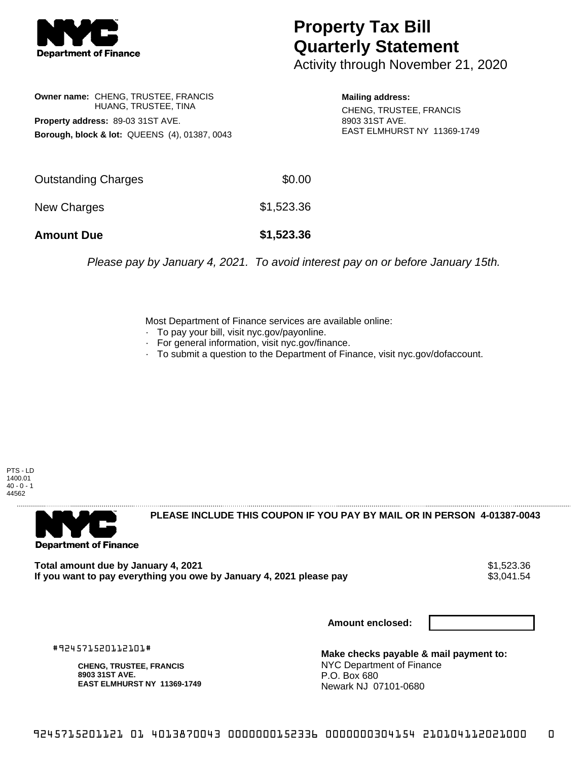

## **Property Tax Bill Quarterly Statement**

Activity through November 21, 2020

**Owner name:** CHENG, TRUSTEE, FRANCIS HUANG, TRUSTEE, TINA **Property address:** 89-03 31ST AVE. **Borough, block & lot:** QUEENS (4), 01387, 0043

**Mailing address:** CHENG, TRUSTEE, FRANCIS 8903 31ST AVE. EAST ELMHURST NY 11369-1749

| <b>Amount Due</b>   | \$1,523.36 |
|---------------------|------------|
| New Charges         | \$1,523.36 |
| Outstanding Charges | \$0.00     |

Please pay by January 4, 2021. To avoid interest pay on or before January 15th.

Most Department of Finance services are available online:

- · To pay your bill, visit nyc.gov/payonline.
- For general information, visit nyc.gov/finance.
- · To submit a question to the Department of Finance, visit nyc.gov/dofaccount.

PTS - LD 1400.01  $40 - 0 - 1$ 44562



**PLEASE INCLUDE THIS COUPON IF YOU PAY BY MAIL OR IN PERSON 4-01387-0043** 

**Total amount due by January 4, 2021**<br>If you want to pay everything you owe by January 4, 2021 please pay **show that the summer way of the s**3,041.54 If you want to pay everything you owe by January 4, 2021 please pay

**Amount enclosed:**

#924571520112101#

**CHENG, TRUSTEE, FRANCIS 8903 31ST AVE. EAST ELMHURST NY 11369-1749**

**Make checks payable & mail payment to:** NYC Department of Finance P.O. Box 680 Newark NJ 07101-0680